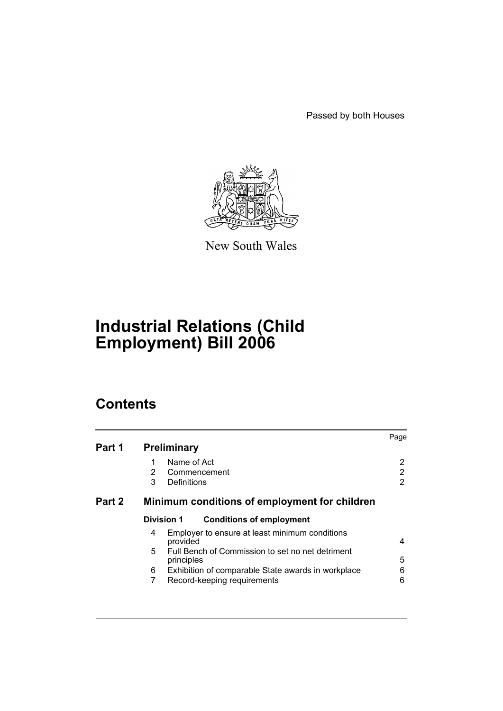Passed by both Houses



New South Wales

# **Industrial Relations (Child Employment) Bill 2006**

# **Contents**

| Part 1 | <b>Preliminary</b>                                                                                                                                                                                                                     | Page             |
|--------|----------------------------------------------------------------------------------------------------------------------------------------------------------------------------------------------------------------------------------------|------------------|
|        | Name of Act<br>2<br>Commencement<br>3<br>Definitions                                                                                                                                                                                   | 2<br>2<br>2      |
| Part 2 | Minimum conditions of employment for children                                                                                                                                                                                          |                  |
|        | <b>Division 1</b><br><b>Conditions of employment</b>                                                                                                                                                                                   |                  |
|        | Employer to ensure at least minimum conditions<br>4<br>provided<br>Full Bench of Commission to set no net detriment<br>5.<br>principles<br>6<br>Exhibition of comparable State awards in workplace<br>7<br>Record-keeping requirements | 4<br>5<br>6<br>6 |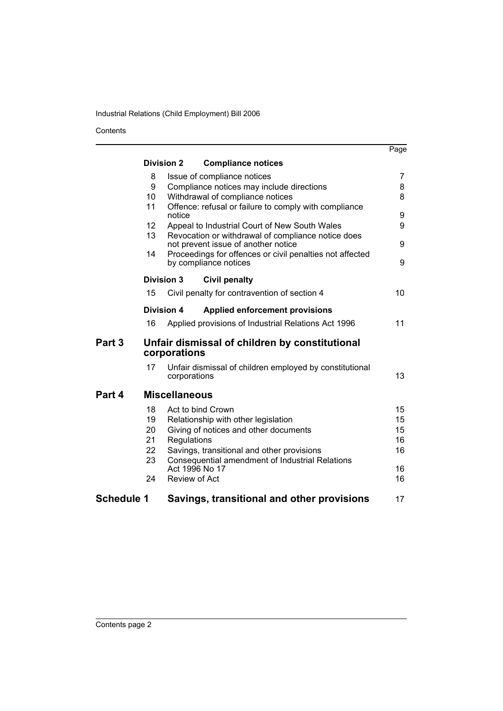## Industrial Relations (Child Employment) Bill 2006

Contents

|            |                                                                |                                                                                   | Page            |
|------------|----------------------------------------------------------------|-----------------------------------------------------------------------------------|-----------------|
|            |                                                                | <b>Division 2</b><br><b>Compliance notices</b>                                    |                 |
|            | 8                                                              | Issue of compliance notices                                                       | 7               |
|            | 9                                                              | Compliance notices may include directions                                         | 8               |
|            | 10                                                             | Withdrawal of compliance notices                                                  | 8               |
|            | 11                                                             | Offence: refusal or failure to comply with compliance<br>notice                   | 9               |
|            | 12                                                             | Appeal to Industrial Court of New South Wales                                     | 9               |
|            | 13                                                             | Revocation or withdrawal of compliance notice does                                |                 |
|            |                                                                | not prevent issue of another notice                                               | 9               |
|            | 14                                                             | Proceedings for offences or civil penalties not affected<br>by compliance notices | 9               |
|            |                                                                | <b>Division 3</b><br><b>Civil penalty</b>                                         |                 |
|            | 15                                                             | Civil penalty for contravention of section 4                                      | 10 <sup>1</sup> |
|            |                                                                | <b>Division 4</b><br><b>Applied enforcement provisions</b>                        |                 |
|            | 16                                                             | Applied provisions of Industrial Relations Act 1996                               | 11              |
| Part 3     | Unfair dismissal of children by constitutional<br>corporations |                                                                                   |                 |
|            | 17                                                             | Unfair dismissal of children employed by constitutional<br>corporations           | 13              |
| Part 4     |                                                                | <b>Miscellaneous</b>                                                              |                 |
|            | 18                                                             | Act to bind Crown                                                                 | 15              |
|            | 19                                                             | Relationship with other legislation                                               | 15              |
|            | 20                                                             | Giving of notices and other documents                                             | 15              |
|            | 21                                                             | Regulations                                                                       | 16              |
|            | 22                                                             | Savings, transitional and other provisions                                        | 16              |
|            | 23                                                             | Consequential amendment of Industrial Relations<br>Act 1996 No 17                 | 16              |
|            | 24                                                             | Review of Act                                                                     | 16              |
|            |                                                                |                                                                                   |                 |
| Schedule 1 |                                                                | Savings, transitional and other provisions                                        | 17              |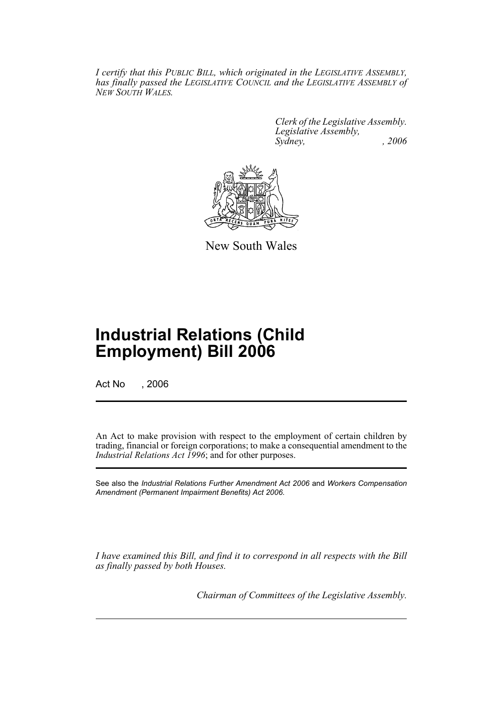*I certify that this PUBLIC BILL, which originated in the LEGISLATIVE ASSEMBLY, has finally passed the LEGISLATIVE COUNCIL and the LEGISLATIVE ASSEMBLY of NEW SOUTH WALES.*

> *Clerk of the Legislative Assembly. Legislative Assembly, Sydney, , 2006*



New South Wales

# **Industrial Relations (Child Employment) Bill 2006**

Act No , 2006

An Act to make provision with respect to the employment of certain children by trading, financial or foreign corporations; to make a consequential amendment to the *Industrial Relations Act 1996*; and for other purposes.

See also the *Industrial Relations Further Amendment Act 2006* and *Workers Compensation Amendment (Permanent Impairment Benefits) Act 2006*.

*I have examined this Bill, and find it to correspond in all respects with the Bill as finally passed by both Houses.*

*Chairman of Committees of the Legislative Assembly.*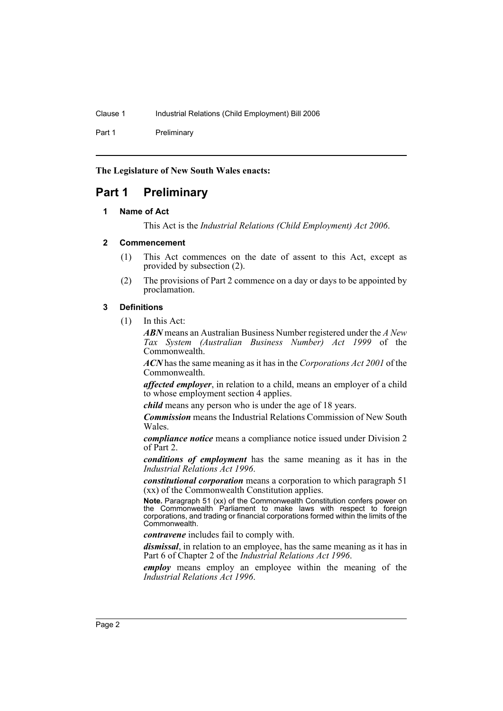Part 1 Preliminary

**The Legislature of New South Wales enacts:**

# **Part 1 Preliminary**

## **1 Name of Act**

This Act is the *Industrial Relations (Child Employment) Act 2006*.

#### **2 Commencement**

- (1) This Act commences on the date of assent to this Act, except as provided by subsection (2).
- (2) The provisions of Part 2 commence on a day or days to be appointed by proclamation.

## **3 Definitions**

(1) In this Act:

*ABN* means an Australian Business Number registered under the *A New Tax System (Australian Business Number) Act 1999* of the Commonwealth.

*ACN* has the same meaning as it has in the *Corporations Act 2001* of the Commonwealth.

*affected employer*, in relation to a child, means an employer of a child to whose employment section 4 applies.

*child* means any person who is under the age of 18 years.

*Commission* means the Industrial Relations Commission of New South Wales.

*compliance notice* means a compliance notice issued under Division 2 of Part 2.

*conditions of employment* has the same meaning as it has in the *Industrial Relations Act 1996*.

*constitutional corporation* means a corporation to which paragraph 51 (xx) of the Commonwealth Constitution applies.

**Note.** Paragraph 51 (xx) of the Commonwealth Constitution confers power on the Commonwealth Parliament to make laws with respect to foreign corporations, and trading or financial corporations formed within the limits of the Commonwealth.

*contravene* includes fail to comply with.

*dismissal*, in relation to an employee, has the same meaning as it has in Part 6 of Chapter 2 of the *Industrial Relations Act 1996*.

*employ* means employ an employee within the meaning of the *Industrial Relations Act 1996*.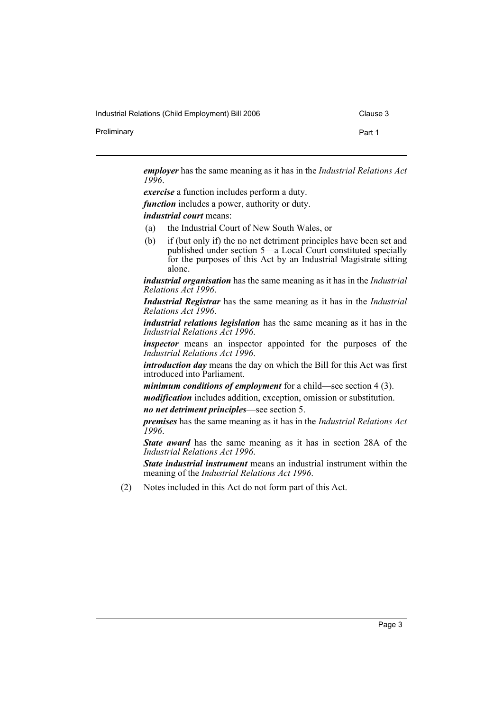Industrial Relations (Child Employment) Bill 2006 Clause 3

Preliminary **Preliminary Part 1** 

*employer* has the same meaning as it has in the *Industrial Relations Act 1996*.

*exercise* a function includes perform a duty. *function* includes a power, authority or duty. *industrial court* means:

- (a) the Industrial Court of New South Wales, or
- (b) if (but only if) the no net detriment principles have been set and published under section 5—a Local Court constituted specially for the purposes of this Act by an Industrial Magistrate sitting alone.

*industrial organisation* has the same meaning as it has in the *Industrial Relations Act 1996*.

*Industrial Registrar* has the same meaning as it has in the *Industrial Relations Act 1996*.

*industrial relations legislation* has the same meaning as it has in the *Industrial Relations Act 1996*.

*inspector* means an inspector appointed for the purposes of the *Industrial Relations Act 1996*.

*introduction day* means the day on which the Bill for this Act was first introduced into Parliament.

*minimum conditions of employment* for a child—see section 4 (3).

*modification* includes addition, exception, omission or substitution.

*no net detriment principles*—see section 5.

*premises* has the same meaning as it has in the *Industrial Relations Act 1996*.

*State award* has the same meaning as it has in section 28A of the *Industrial Relations Act 1996*.

*State industrial instrument* means an industrial instrument within the meaning of the *Industrial Relations Act 1996*.

(2) Notes included in this Act do not form part of this Act.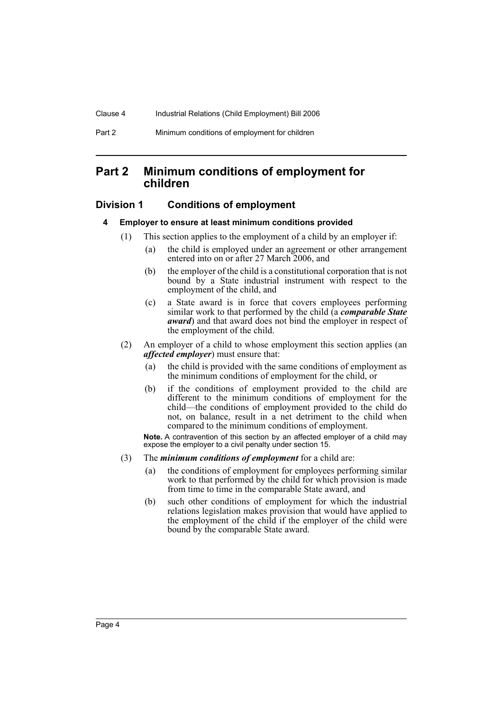## **Part 2 Minimum conditions of employment for children**

## **Division 1 Conditions of employment**

#### **4 Employer to ensure at least minimum conditions provided**

- (1) This section applies to the employment of a child by an employer if:
	- (a) the child is employed under an agreement or other arrangement entered into on or after 27 March 2006, and
	- (b) the employer of the child is a constitutional corporation that is not bound by a State industrial instrument with respect to the employment of the child, and
	- (c) a State award is in force that covers employees performing similar work to that performed by the child (a *comparable State award*) and that award does not bind the employer in respect of the employment of the child.
- (2) An employer of a child to whose employment this section applies (an *affected employer*) must ensure that:
	- (a) the child is provided with the same conditions of employment as the minimum conditions of employment for the child, or
	- (b) if the conditions of employment provided to the child are different to the minimum conditions of employment for the child—the conditions of employment provided to the child do not, on balance, result in a net detriment to the child when compared to the minimum conditions of employment.

**Note.** A contravention of this section by an affected employer of a child may expose the employer to a civil penalty under section 15.

- (3) The *minimum conditions of employment* for a child are:
	- (a) the conditions of employment for employees performing similar work to that performed by the child for which provision is made from time to time in the comparable State award, and
	- (b) such other conditions of employment for which the industrial relations legislation makes provision that would have applied to the employment of the child if the employer of the child were bound by the comparable State award.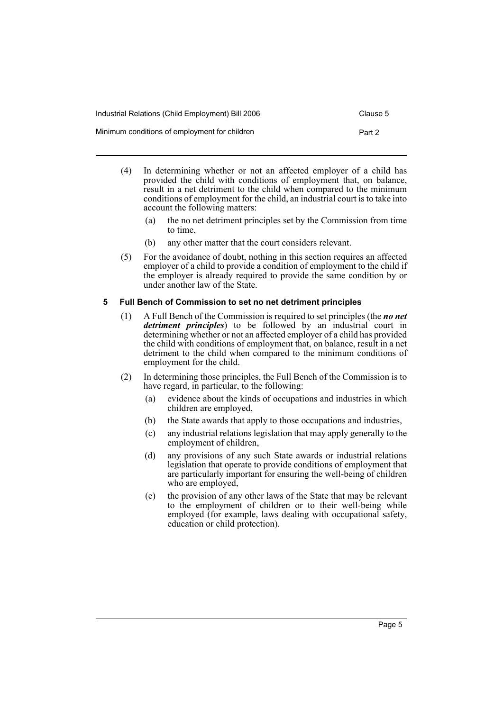| Industrial Relations (Child Employment) Bill 2006 | Clause 5 |
|---------------------------------------------------|----------|
| Minimum conditions of employment for children     | Part 2   |

- (4) In determining whether or not an affected employer of a child has provided the child with conditions of employment that, on balance, result in a net detriment to the child when compared to the minimum conditions of employment for the child, an industrial court is to take into account the following matters:
	- (a) the no net detriment principles set by the Commission from time to time,
	- (b) any other matter that the court considers relevant.
- (5) For the avoidance of doubt, nothing in this section requires an affected employer of a child to provide a condition of employment to the child if the employer is already required to provide the same condition by or under another law of the State.

## **5 Full Bench of Commission to set no net detriment principles**

- (1) A Full Bench of the Commission is required to set principles (the *no net detriment principles*) to be followed by an industrial court in determining whether or not an affected employer of a child has provided the child with conditions of employment that, on balance, result in a net detriment to the child when compared to the minimum conditions of employment for the child.
- (2) In determining those principles, the Full Bench of the Commission is to have regard, in particular, to the following:
	- (a) evidence about the kinds of occupations and industries in which children are employed,
	- (b) the State awards that apply to those occupations and industries,
	- (c) any industrial relations legislation that may apply generally to the employment of children,
	- (d) any provisions of any such State awards or industrial relations legislation that operate to provide conditions of employment that are particularly important for ensuring the well-being of children who are employed,
	- (e) the provision of any other laws of the State that may be relevant to the employment of children or to their well-being while employed (for example, laws dealing with occupational safety, education or child protection).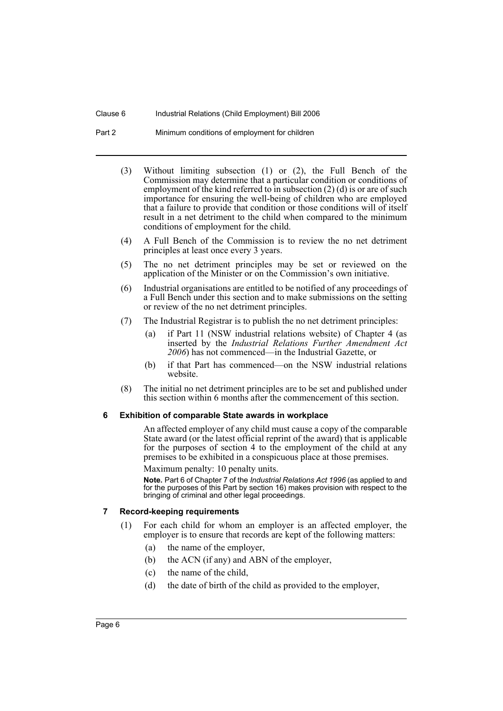- Part 2 Minimum conditions of employment for children
	- (3) Without limiting subsection (1) or (2), the Full Bench of the Commission may determine that a particular condition or conditions of employment of the kind referred to in subsection (2) (d) is or are of such importance for ensuring the well-being of children who are employed that a failure to provide that condition or those conditions will of itself result in a net detriment to the child when compared to the minimum conditions of employment for the child.
	- (4) A Full Bench of the Commission is to review the no net detriment principles at least once every 3 years.
	- (5) The no net detriment principles may be set or reviewed on the application of the Minister or on the Commission's own initiative.
	- (6) Industrial organisations are entitled to be notified of any proceedings of a Full Bench under this section and to make submissions on the setting or review of the no net detriment principles.
	- (7) The Industrial Registrar is to publish the no net detriment principles:
		- (a) if Part 11 (NSW industrial relations website) of Chapter 4 (as inserted by the *Industrial Relations Further Amendment Act 2006*) has not commenced—in the Industrial Gazette, or
		- (b) if that Part has commenced—on the NSW industrial relations website.
	- (8) The initial no net detriment principles are to be set and published under this section within 6 months after the commencement of this section.

#### **6 Exhibition of comparable State awards in workplace**

An affected employer of any child must cause a copy of the comparable State award (or the latest official reprint of the award) that is applicable for the purposes of section 4 to the employment of the child at any premises to be exhibited in a conspicuous place at those premises.

Maximum penalty: 10 penalty units.

**Note.** Part 6 of Chapter 7 of the *Industrial Relations Act 1996* (as applied to and for the purposes of this Part by section 16) makes provision with respect to the bringing of criminal and other legal proceedings.

#### **7 Record-keeping requirements**

- (1) For each child for whom an employer is an affected employer, the employer is to ensure that records are kept of the following matters:
	- (a) the name of the employer,
	- (b) the ACN (if any) and ABN of the employer,
	- (c) the name of the child,
	- (d) the date of birth of the child as provided to the employer,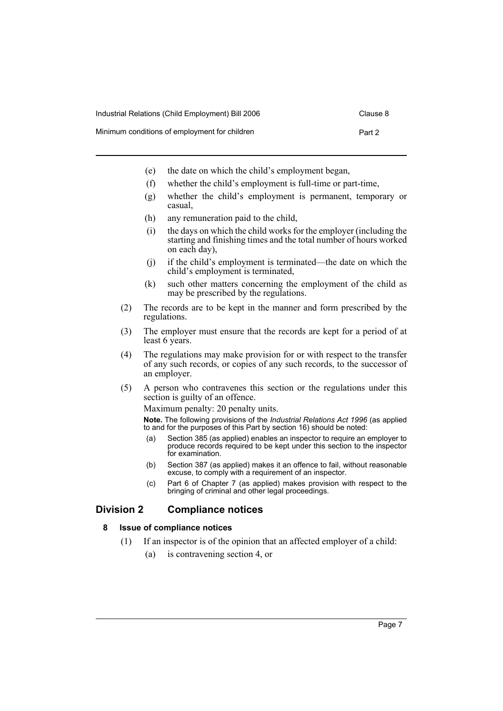- Minimum conditions of employment for children **Part 2** Part 2
	- (e) the date on which the child's employment began,
	- (f) whether the child's employment is full-time or part-time,
	- (g) whether the child's employment is permanent, temporary or casual,
	- (h) any remuneration paid to the child,
	- (i) the days on which the child works for the employer (including the starting and finishing times and the total number of hours worked on each day),
	- (j) if the child's employment is terminated—the date on which the child's employment is terminated,
	- (k) such other matters concerning the employment of the child as may be prescribed by the regulations.
	- (2) The records are to be kept in the manner and form prescribed by the regulations.
	- (3) The employer must ensure that the records are kept for a period of at least 6 years.
	- (4) The regulations may make provision for or with respect to the transfer of any such records, or copies of any such records, to the successor of an employer.
	- (5) A person who contravenes this section or the regulations under this section is guilty of an offence.

Maximum penalty: 20 penalty units.

**Note.** The following provisions of the *Industrial Relations Act 1996* (as applied to and for the purposes of this Part by section 16) should be noted:

- (a) Section 385 (as applied) enables an inspector to require an employer to produce records required to be kept under this section to the inspector for examination.
- (b) Section 387 (as applied) makes it an offence to fail, without reasonable excuse, to comply with a requirement of an inspector.
- (c) Part 6 of Chapter 7 (as applied) makes provision with respect to the bringing of criminal and other legal proceedings.

## **Division 2 Compliance notices**

## **8 Issue of compliance notices**

- (1) If an inspector is of the opinion that an affected employer of a child:
	- (a) is contravening section 4, or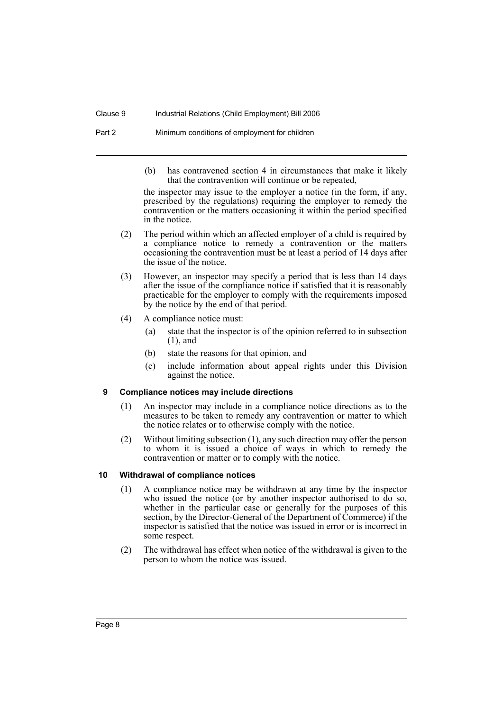#### Clause 9 Industrial Relations (Child Employment) Bill 2006

Part 2 Minimum conditions of employment for children

(b) has contravened section 4 in circumstances that make it likely that the contravention will continue or be repeated,

the inspector may issue to the employer a notice (in the form, if any, prescribed by the regulations) requiring the employer to remedy the contravention or the matters occasioning it within the period specified in the notice.

- (2) The period within which an affected employer of a child is required by a compliance notice to remedy a contravention or the matters occasioning the contravention must be at least a period of 14 days after the issue of the notice.
- (3) However, an inspector may specify a period that is less than 14 days after the issue of the compliance notice if satisfied that it is reasonably practicable for the employer to comply with the requirements imposed by the notice by the end of that period.
- (4) A compliance notice must:
	- (a) state that the inspector is of the opinion referred to in subsection (1), and
	- (b) state the reasons for that opinion, and
	- (c) include information about appeal rights under this Division against the notice.

## **9 Compliance notices may include directions**

- (1) An inspector may include in a compliance notice directions as to the measures to be taken to remedy any contravention or matter to which the notice relates or to otherwise comply with the notice.
- (2) Without limiting subsection (1), any such direction may offer the person to whom it is issued a choice of ways in which to remedy the contravention or matter or to comply with the notice.

## **10 Withdrawal of compliance notices**

- (1) A compliance notice may be withdrawn at any time by the inspector who issued the notice (or by another inspector authorised to do so, whether in the particular case or generally for the purposes of this section, by the Director-General of the Department of Commerce) if the inspector is satisfied that the notice was issued in error or is incorrect in some respect.
- (2) The withdrawal has effect when notice of the withdrawal is given to the person to whom the notice was issued.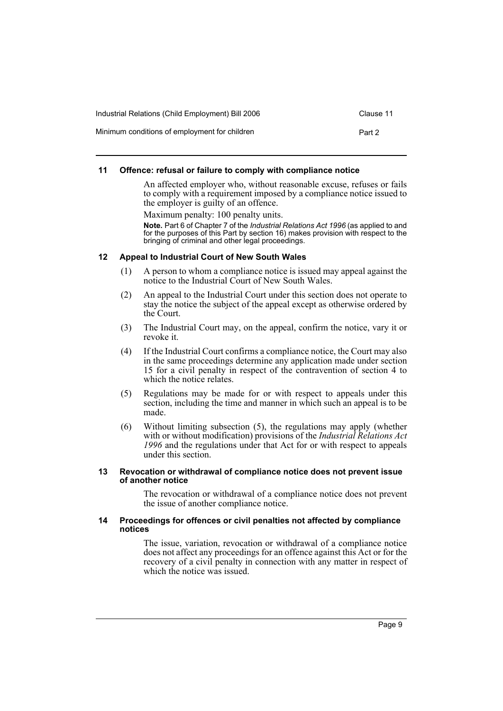| Industrial Relations (Child Employment) Bill 2006 | Clause 11 |
|---------------------------------------------------|-----------|
| Minimum conditions of employment for children     | Part 2    |

## **11 Offence: refusal or failure to comply with compliance notice**

An affected employer who, without reasonable excuse, refuses or fails to comply with a requirement imposed by a compliance notice issued to the employer is guilty of an offence.

Maximum penalty: 100 penalty units.

**Note.** Part 6 of Chapter 7 of the *Industrial Relations Act 1996* (as applied to and for the purposes of this Part by section 16) makes provision with respect to the bringing of criminal and other legal proceedings.

## **12 Appeal to Industrial Court of New South Wales**

- (1) A person to whom a compliance notice is issued may appeal against the notice to the Industrial Court of New South Wales.
- (2) An appeal to the Industrial Court under this section does not operate to stay the notice the subject of the appeal except as otherwise ordered by the Court.
- (3) The Industrial Court may, on the appeal, confirm the notice, vary it or revoke it.
- (4) If the Industrial Court confirms a compliance notice, the Court may also in the same proceedings determine any application made under section 15 for a civil penalty in respect of the contravention of section 4 to which the notice relates.
- (5) Regulations may be made for or with respect to appeals under this section, including the time and manner in which such an appeal is to be made.
- (6) Without limiting subsection (5), the regulations may apply (whether with or without modification) provisions of the *Industrial Relations Act 1996* and the regulations under that Act for or with respect to appeals under this section.

#### **13 Revocation or withdrawal of compliance notice does not prevent issue of another notice**

The revocation or withdrawal of a compliance notice does not prevent the issue of another compliance notice.

#### **14 Proceedings for offences or civil penalties not affected by compliance notices**

The issue, variation, revocation or withdrawal of a compliance notice does not affect any proceedings for an offence against this Act or for the recovery of a civil penalty in connection with any matter in respect of which the notice was issued.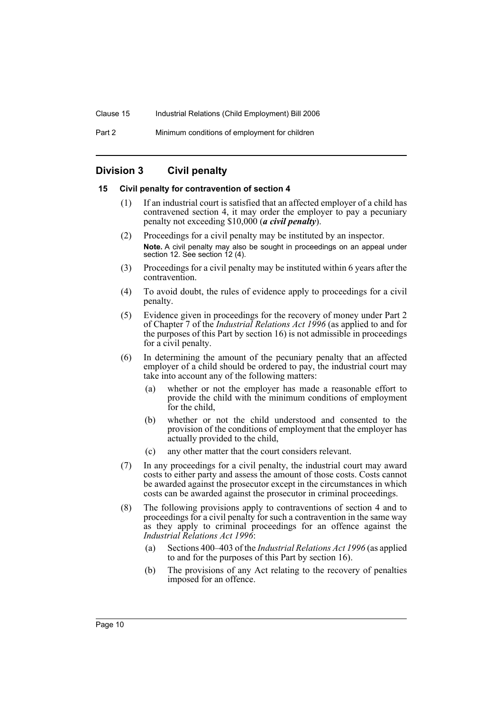## **Division 3 Civil penalty**

## **15 Civil penalty for contravention of section 4**

- (1) If an industrial court is satisfied that an affected employer of a child has contravened section 4, it may order the employer to pay a pecuniary penalty not exceeding \$10,000 (*a civil penalty*).
- (2) Proceedings for a civil penalty may be instituted by an inspector. **Note.** A civil penalty may also be sought in proceedings on an appeal under section 12. See section 12 (4).
- (3) Proceedings for a civil penalty may be instituted within 6 years after the contravention.
- (4) To avoid doubt, the rules of evidence apply to proceedings for a civil penalty.
- (5) Evidence given in proceedings for the recovery of money under Part 2 of Chapter 7 of the *Industrial Relations Act 1996* (as applied to and for the purposes of this Part by section 16) is not admissible in proceedings for a civil penalty.
- (6) In determining the amount of the pecuniary penalty that an affected employer of a child should be ordered to pay, the industrial court may take into account any of the following matters:
	- (a) whether or not the employer has made a reasonable effort to provide the child with the minimum conditions of employment for the child,
	- (b) whether or not the child understood and consented to the provision of the conditions of employment that the employer has actually provided to the child,
	- (c) any other matter that the court considers relevant.
- (7) In any proceedings for a civil penalty, the industrial court may award costs to either party and assess the amount of those costs. Costs cannot be awarded against the prosecutor except in the circumstances in which costs can be awarded against the prosecutor in criminal proceedings.
- (8) The following provisions apply to contraventions of section 4 and to proceedings for a civil penalty for such a contravention in the same way as they apply to criminal proceedings for an offence against the *Industrial Relations Act 1996*:
	- (a) Sections 400–403 of the *Industrial Relations Act 1996* (as applied to and for the purposes of this Part by section 16).
	- (b) The provisions of any Act relating to the recovery of penalties imposed for an offence.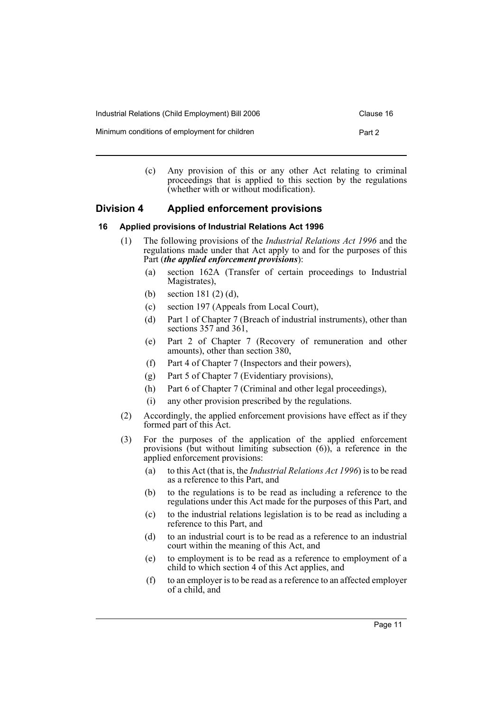| Industrial Relations (Child Employment) Bill 2006 | Clause 16 |
|---------------------------------------------------|-----------|
| Minimum conditions of employment for children     | Part 2    |

(c) Any provision of this or any other Act relating to criminal proceedings that is applied to this section by the regulations (whether with or without modification).

## **Division 4 Applied enforcement provisions**

## **16 Applied provisions of Industrial Relations Act 1996**

- (1) The following provisions of the *Industrial Relations Act 1996* and the regulations made under that Act apply to and for the purposes of this Part (*the applied enforcement provisions*):
	- (a) section 162A (Transfer of certain proceedings to Industrial Magistrates),
	- (b) section 181 (2) (d),
	- (c) section 197 (Appeals from Local Court),
	- (d) Part 1 of Chapter 7 (Breach of industrial instruments), other than sections 357 and 361,
	- (e) Part 2 of Chapter 7 (Recovery of remuneration and other amounts), other than section 380,
	- (f) Part 4 of Chapter 7 (Inspectors and their powers),
	- (g) Part 5 of Chapter 7 (Evidentiary provisions),
	- (h) Part 6 of Chapter 7 (Criminal and other legal proceedings),
	- (i) any other provision prescribed by the regulations.
- (2) Accordingly, the applied enforcement provisions have effect as if they formed part of this Act.
- (3) For the purposes of the application of the applied enforcement provisions (but without limiting subsection  $(6)$ ), a reference in the applied enforcement provisions:
	- (a) to this Act (that is, the *Industrial Relations Act 1996*) is to be read as a reference to this Part, and
	- (b) to the regulations is to be read as including a reference to the regulations under this Act made for the purposes of this Part, and
	- (c) to the industrial relations legislation is to be read as including a reference to this Part, and
	- (d) to an industrial court is to be read as a reference to an industrial court within the meaning of this Act, and
	- (e) to employment is to be read as a reference to employment of a child to which section 4 of this Act applies, and
	- (f) to an employer is to be read as a reference to an affected employer of a child, and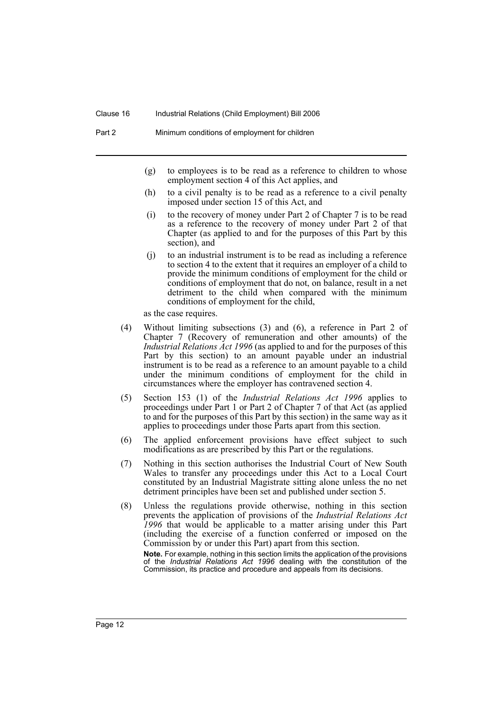- (g) to employees is to be read as a reference to children to whose employment section 4 of this Act applies, and
- (h) to a civil penalty is to be read as a reference to a civil penalty imposed under section 15 of this Act, and
- (i) to the recovery of money under Part 2 of Chapter 7 is to be read as a reference to the recovery of money under Part 2 of that Chapter (as applied to and for the purposes of this Part by this section), and
- (j) to an industrial instrument is to be read as including a reference to section 4 to the extent that it requires an employer of a child to provide the minimum conditions of employment for the child or conditions of employment that do not, on balance, result in a net detriment to the child when compared with the minimum conditions of employment for the child,

as the case requires.

- (4) Without limiting subsections (3) and (6), a reference in Part 2 of Chapter 7 (Recovery of remuneration and other amounts) of the *Industrial Relations Act 1996* (as applied to and for the purposes of this Part by this section) to an amount payable under an industrial instrument is to be read as a reference to an amount payable to a child under the minimum conditions of employment for the child in circumstances where the employer has contravened section 4.
- (5) Section 153 (1) of the *Industrial Relations Act 1996* applies to proceedings under Part 1 or Part 2 of Chapter 7 of that Act (as applied to and for the purposes of this Part by this section) in the same way as it applies to proceedings under those Parts apart from this section.
- (6) The applied enforcement provisions have effect subject to such modifications as are prescribed by this Part or the regulations.
- (7) Nothing in this section authorises the Industrial Court of New South Wales to transfer any proceedings under this Act to a Local Court constituted by an Industrial Magistrate sitting alone unless the no net detriment principles have been set and published under section 5.
- (8) Unless the regulations provide otherwise, nothing in this section prevents the application of provisions of the *Industrial Relations Act 1996* that would be applicable to a matter arising under this Part (including the exercise of a function conferred or imposed on the Commission by or under this Part) apart from this section.

**Note.** For example, nothing in this section limits the application of the provisions of the *Industrial Relations Act 1996* dealing with the constitution of the Commission, its practice and procedure and appeals from its decisions.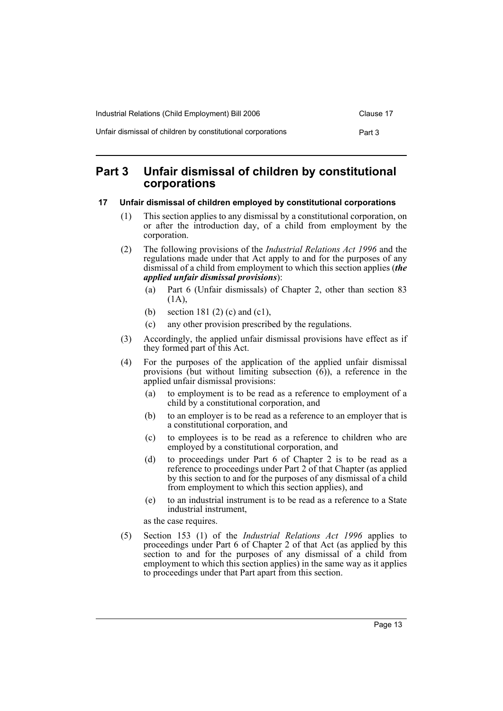| Industrial Relations (Child Employment) Bill 2006           | Clause 17 |
|-------------------------------------------------------------|-----------|
| Unfair dismissal of children by constitutional corporations | Part 3    |

## **Part 3 Unfair dismissal of children by constitutional corporations**

## **17 Unfair dismissal of children employed by constitutional corporations**

- (1) This section applies to any dismissal by a constitutional corporation, on or after the introduction day, of a child from employment by the corporation.
- (2) The following provisions of the *Industrial Relations Act 1996* and the regulations made under that Act apply to and for the purposes of any dismissal of a child from employment to which this section applies (*the applied unfair dismissal provisions*):
	- (a) Part 6 (Unfair dismissals) of Chapter 2, other than section 83 (1A),
	- (b) section 181 (2) (c) and (c1),
	- (c) any other provision prescribed by the regulations.
- (3) Accordingly, the applied unfair dismissal provisions have effect as if they formed part of this Act.
- (4) For the purposes of the application of the applied unfair dismissal provisions (but without limiting subsection (6)), a reference in the applied unfair dismissal provisions:
	- (a) to employment is to be read as a reference to employment of a child by a constitutional corporation, and
	- (b) to an employer is to be read as a reference to an employer that is a constitutional corporation, and
	- (c) to employees is to be read as a reference to children who are employed by a constitutional corporation, and
	- (d) to proceedings under Part 6 of Chapter 2 is to be read as a reference to proceedings under Part 2 of that Chapter (as applied by this section to and for the purposes of any dismissal of a child from employment to which this section applies), and
	- (e) to an industrial instrument is to be read as a reference to a State industrial instrument,

as the case requires.

(5) Section 153 (1) of the *Industrial Relations Act 1996* applies to proceedings under Part 6 of Chapter 2 of that Act (as applied by this section to and for the purposes of any dismissal of a child from employment to which this section applies) in the same way as it applies to proceedings under that Part apart from this section.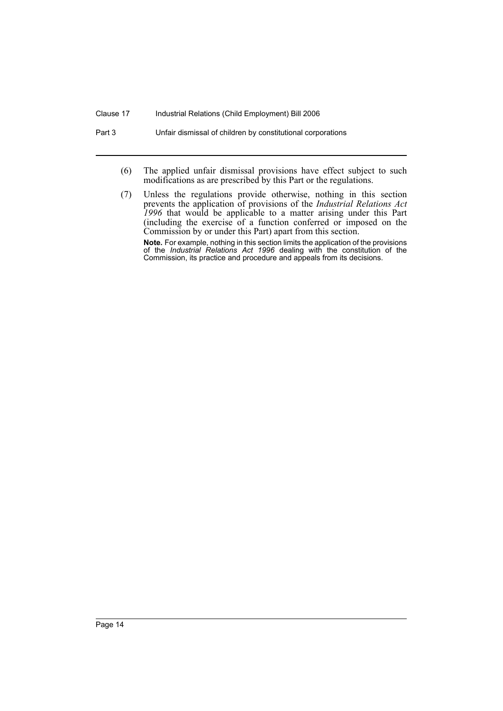#### Clause 17 Industrial Relations (Child Employment) Bill 2006

Part 3 Unfair dismissal of children by constitutional corporations

- (6) The applied unfair dismissal provisions have effect subject to such modifications as are prescribed by this Part or the regulations.
- (7) Unless the regulations provide otherwise, nothing in this section prevents the application of provisions of the *Industrial Relations Act 1996* that would be applicable to a matter arising under this Part (including the exercise of a function conferred or imposed on the Commission by or under this Part) apart from this section. **Note.** For example, nothing in this section limits the application of the provisions of the *Industrial Relations Act 1996* dealing with the constitution of the Commission, its practice and procedure and appeals from its decisions.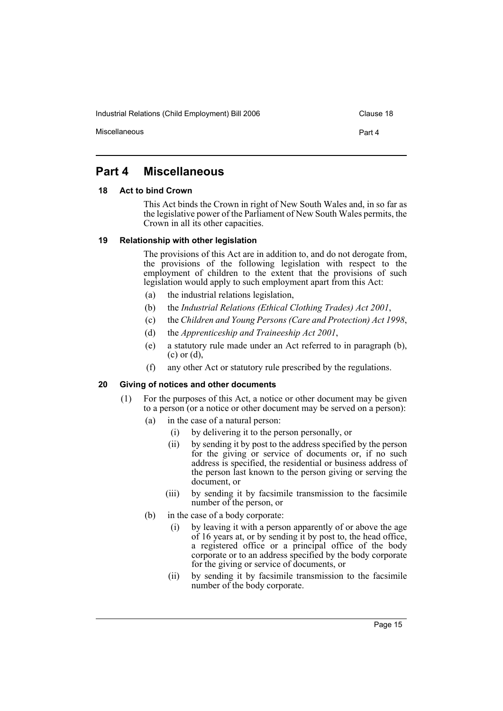Industrial Relations (Child Employment) Bill 2006 Clause 18

Miscellaneous **Part 4** 

## **Part 4 Miscellaneous**

## **18 Act to bind Crown**

This Act binds the Crown in right of New South Wales and, in so far as the legislative power of the Parliament of New South Wales permits, the Crown in all its other capacities.

## **19 Relationship with other legislation**

The provisions of this Act are in addition to, and do not derogate from, the provisions of the following legislation with respect to the employment of children to the extent that the provisions of such legislation would apply to such employment apart from this Act:

- (a) the industrial relations legislation,
- (b) the *Industrial Relations (Ethical Clothing Trades) Act 2001*,
- (c) the *Children and Young Persons (Care and Protection) Act 1998*,
- (d) the *Apprenticeship and Traineeship Act 2001*,
- (e) a statutory rule made under an Act referred to in paragraph (b), (c) or (d),
- (f) any other Act or statutory rule prescribed by the regulations.

## **20 Giving of notices and other documents**

- (1) For the purposes of this Act, a notice or other document may be given to a person (or a notice or other document may be served on a person):
	- (a) in the case of a natural person:
		- (i) by delivering it to the person personally, or
		- (ii) by sending it by post to the address specified by the person for the giving or service of documents or, if no such address is specified, the residential or business address of the person last known to the person giving or serving the document, or
		- (iii) by sending it by facsimile transmission to the facsimile number of the person, or
	- (b) in the case of a body corporate:
		- (i) by leaving it with a person apparently of or above the age of 16 years at, or by sending it by post to, the head office, a registered office or a principal office of the body corporate or to an address specified by the body corporate for the giving or service of documents, or
		- (ii) by sending it by facsimile transmission to the facsimile number of the body corporate.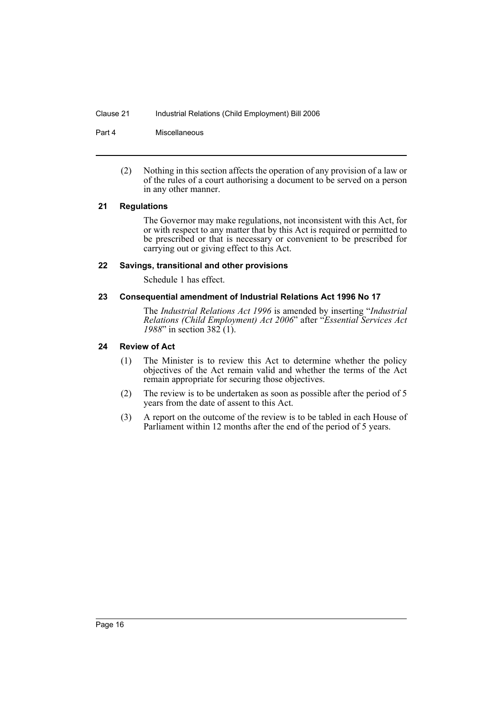#### Clause 21 Industrial Relations (Child Employment) Bill 2006

Part 4 Miscellaneous

(2) Nothing in this section affects the operation of any provision of a law or of the rules of a court authorising a document to be served on a person in any other manner.

#### **21 Regulations**

The Governor may make regulations, not inconsistent with this Act, for or with respect to any matter that by this Act is required or permitted to be prescribed or that is necessary or convenient to be prescribed for carrying out or giving effect to this Act.

#### **22 Savings, transitional and other provisions**

Schedule 1 has effect.

#### **23 Consequential amendment of Industrial Relations Act 1996 No 17**

The *Industrial Relations Act 1996* is amended by inserting "*Industrial Relations (Child Employment) Act 2006*" after "*Essential Services Act 1988*" in section 382 (1).

## **24 Review of Act**

- (1) The Minister is to review this Act to determine whether the policy objectives of the Act remain valid and whether the terms of the Act remain appropriate for securing those objectives.
- (2) The review is to be undertaken as soon as possible after the period of 5 years from the date of assent to this Act.
- (3) A report on the outcome of the review is to be tabled in each House of Parliament within 12 months after the end of the period of 5 years.